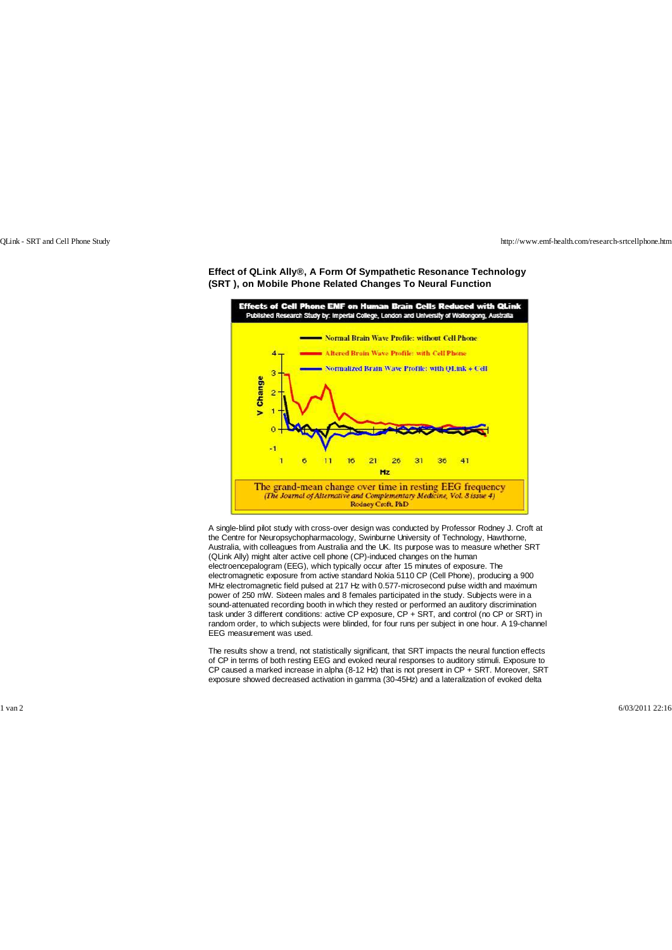QLink - SRT and Cell Phone Study <http://www.emf-health.com/research-srtcellphone.htm>



**Effect of QLink Ally®, A Form Of Sympathetic Resonance Technology (SRT ), on Mobile Phone Related Changes To Neural Function**

A single-blind pilot study with cross-over design was conducted by Professor Rodney J. Croft at the Centre for Neuropsychopharmacology, Swinburne University of Technology, Hawthorne, Australia, with colleagues from Australia and the UK. Its purpose was to measure whether SRT (QLink Ally) might alter active cell phone (CP)-induced changes on the human electroencepalogram (EEG), which typically occur after 15 minutes of exposure. The electromagnetic exposure from active standard Nokia 5110 CP (Cell Phone), producing a 900 MHz electromagnetic field pulsed at 217 Hz with 0.577-microsecond pulse width and maximum power of 250 mW. Sixteen males and 8 females participated in the study. Subjects were in a sound-attenuated recording booth in which they rested or performed an auditory discrimination task under 3 different conditions: active CP exposure, CP + SRT, and control (no CP or SRT) in random order, to which subjects were blinded, for four runs per subject in one hour. A 19-channel EEG measurement was used.

The results show a trend, not statistically significant, that SRT impacts the neural function effects of CP in terms of both resting EEG and evoked neural responses to auditory stimuli. Exposure to CP caused a marked increase in alpha (8-12 Hz) that is not present in CP + SRT. Moreover, SRT exposure showed decreased activation in gamma (30-45Hz) and a lateralization of evoked delta

1 van 2 6/03/2011 22:16